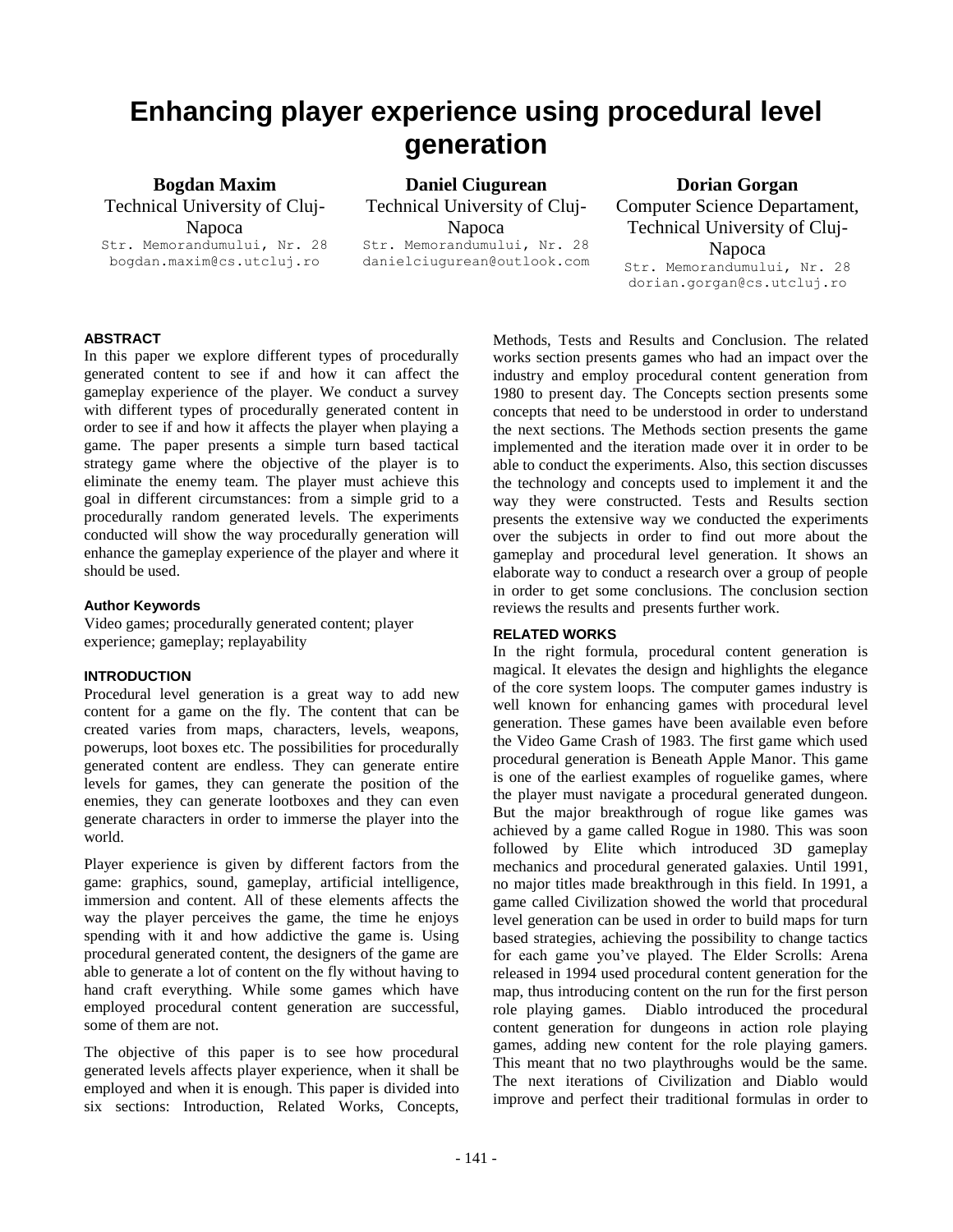# **Enhancing player experience using procedural level generation**

**Bogdan Maxim** Technical University of Cluj-Napoca Str. Memorandumului, Nr. 28

bogdan.maxim@cs.utcluj.ro

**Daniel Ciugurean** Technical University of Cluj-Napoca Str. Memorandumului, Nr. 28 danielciugurean@outlook.com

**Dorian Gorgan** Computer Science Departament, Technical University of Cluj-Napoca Str. Memorandumului, Nr. 28 dorian.gorgan@cs.utcluj.ro

## **ABSTRACT**

In this paper we explore different types of procedurally generated content to see if and how it can affect the gameplay experience of the player. We conduct a survey with different types of procedurally generated content in order to see if and how it affects the player when playing a game. The paper presents a simple turn based tactical strategy game where the objective of the player is to eliminate the enemy team. The player must achieve this goal in different circumstances: from a simple grid to a procedurally random generated levels. The experiments conducted will show the way procedurally generation will enhance the gameplay experience of the player and where it should be used.

## **Author Keywords**

Video games; procedurally generated content; player experience; gameplay; replayability

# **INTRODUCTION**

Procedural level generation is a great way to add new content for a game on the fly. The content that can be created varies from maps, characters, levels, weapons, powerups, loot boxes etc. The possibilities for procedurally generated content are endless. They can generate entire levels for games, they can generate the position of the enemies, they can generate lootboxes and they can even generate characters in order to immerse the player into the world.

Player experience is given by different factors from the game: graphics, sound, gameplay, artificial intelligence, immersion and content. All of these elements affects the way the player perceives the game, the time he enjoys spending with it and how addictive the game is. Using procedural generated content, the designers of the game are able to generate a lot of content on the fly without having to hand craft everything. While some games which have employed procedural content generation are successful, some of them are not.

The objective of this paper is to see how procedural generated levels affects player experience, when it shall be employed and when it is enough. This paper is divided into six sections: Introduction, Related Works, Concepts, Methods, Tests and Results and Conclusion. The related works section presents games who had an impact over the industry and employ procedural content generation from 1980 to present day. The Concepts section presents some concepts that need to be understood in order to understand the next sections. The Methods section presents the game implemented and the iteration made over it in order to be able to conduct the experiments. Also, this section discusses the technology and concepts used to implement it and the way they were constructed. Tests and Results section presents the extensive way we conducted the experiments over the subjects in order to find out more about the gameplay and procedural level generation. It shows an elaborate way to conduct a research over a group of people in order to get some conclusions. The conclusion section reviews the results and presents further work.

## **RELATED WORKS**

In the right formula, procedural content generation is magical. It elevates the design and highlights the elegance of the core system loops. The computer games industry is well known for enhancing games with procedural level generation. These games have been available even before the Video Game Crash of 1983. The first game which used procedural generation is Beneath Apple Manor. This game is one of the earliest examples of roguelike games, where the player must navigate a procedural generated dungeon. But the major breakthrough of rogue like games was achieved by a game called Rogue in 1980. This was soon followed by Elite which introduced 3D gameplay mechanics and procedural generated galaxies. Until 1991, no major titles made breakthrough in this field. In 1991, a game called Civilization showed the world that procedural level generation can be used in order to build maps for turn based strategies, achieving the possibility to change tactics for each game you've played. The Elder Scrolls: Arena released in 1994 used procedural content generation for the map, thus introducing content on the run for the first person role playing games. Diablo introduced the procedural content generation for dungeons in action role playing games, adding new content for the role playing gamers. This meant that no two playthroughs would be the same. The next iterations of Civilization and Diablo would improve and perfect their traditional formulas in order to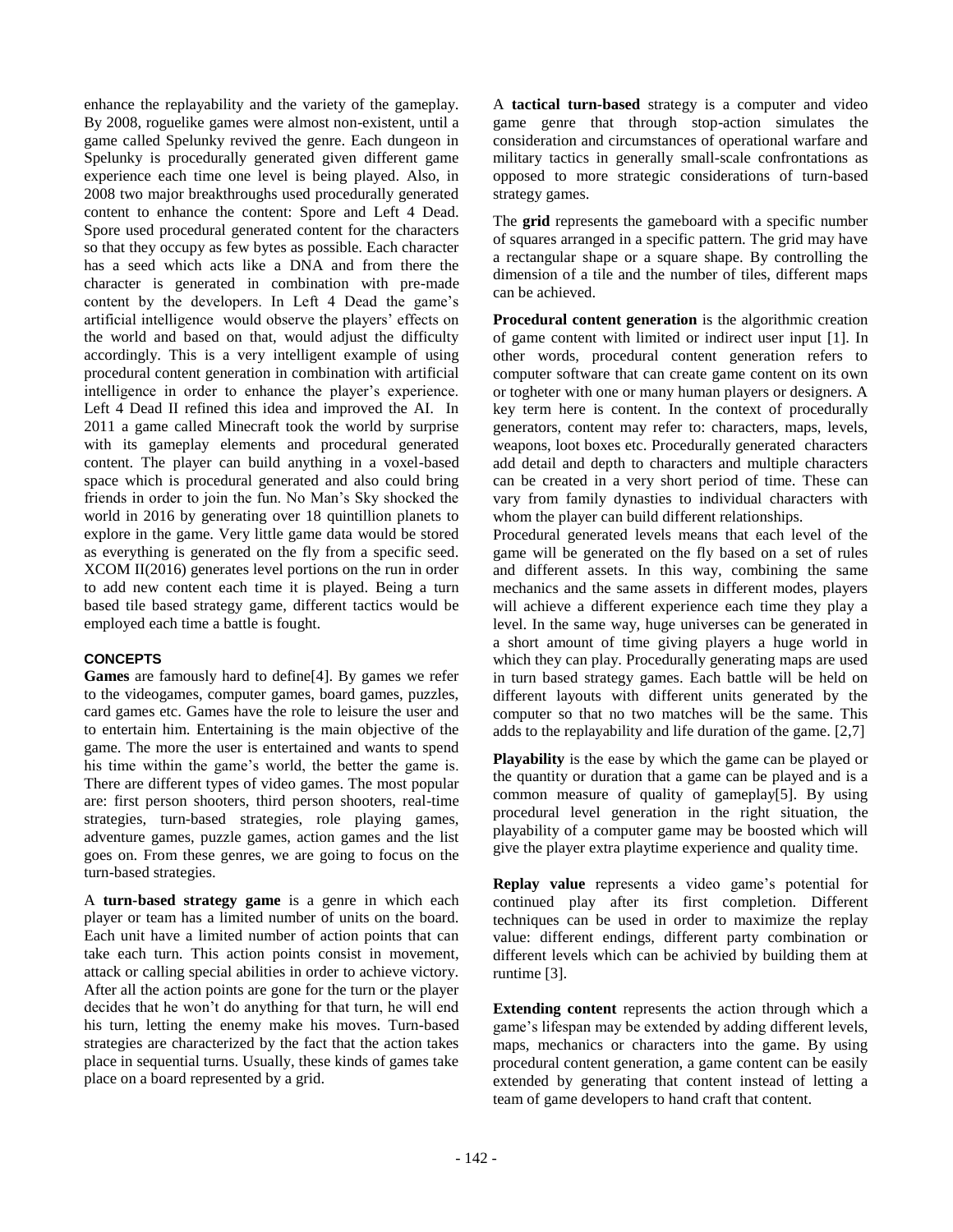enhance the replayability and the variety of the gameplay. By 2008, roguelike games were almost non-existent, until a game called Spelunky revived the genre. Each dungeon in Spelunky is procedurally generated given different game experience each time one level is being played. Also, in 2008 two major breakthroughs used procedurally generated content to enhance the content: Spore and Left 4 Dead. Spore used procedural generated content for the characters so that they occupy as few bytes as possible. Each character has a seed which acts like a DNA and from there the character is generated in combination with pre-made content by the developers. In Left 4 Dead the game's artificial intelligence would observe the players' effects on the world and based on that, would adjust the difficulty accordingly. This is a very intelligent example of using procedural content generation in combination with artificial intelligence in order to enhance the player's experience. Left 4 Dead II refined this idea and improved the AI. In 2011 a game called Minecraft took the world by surprise with its gameplay elements and procedural generated content. The player can build anything in a voxel-based space which is procedural generated and also could bring friends in order to join the fun. No Man's Sky shocked the world in 2016 by generating over 18 quintillion planets to explore in the game. Very little game data would be stored as everything is generated on the fly from a specific seed. XCOM II(2016) generates level portions on the run in order to add new content each time it is played. Being a turn based tile based strategy game, different tactics would be employed each time a battle is fought.

# **CONCEPTS**

**Games** are famously hard to define[4]. By games we refer to the videogames, computer games, board games, puzzles, card games etc. Games have the role to leisure the user and to entertain him. Entertaining is the main objective of the game. The more the user is entertained and wants to spend his time within the game's world, the better the game is. There are different types of video games. The most popular are: first person shooters, third person shooters, real-time strategies, turn-based strategies, role playing games, adventure games, puzzle games, action games and the list goes on. From these genres, we are going to focus on the turn-based strategies.

A **turn-based strategy game** is a genre in which each player or team has a limited number of units on the board. Each unit have a limited number of action points that can take each turn. This action points consist in movement, attack or calling special abilities in order to achieve victory. After all the action points are gone for the turn or the player decides that he won't do anything for that turn, he will end his turn, letting the enemy make his moves. Turn-based strategies are characterized by the fact that the action takes place in sequential turns. Usually, these kinds of games take place on a board represented by a grid.

A **tactical turn-based** strategy is a computer and video game genre that through stop-action simulates the consideration and circumstances of operational warfare and military tactics in generally small-scale confrontations as opposed to more strategic considerations of turn-based strategy games.

The **grid** represents the gameboard with a specific number of squares arranged in a specific pattern. The grid may have a rectangular shape or a square shape. By controlling the dimension of a tile and the number of tiles, different maps can be achieved.

**Procedural content generation** is the algorithmic creation of game content with limited or indirect user input [1]. In other words, procedural content generation refers to computer software that can create game content on its own or togheter with one or many human players or designers. A key term here is content. In the context of procedurally generators, content may refer to: characters, maps, levels, weapons, loot boxes etc. Procedurally generated characters add detail and depth to characters and multiple characters can be created in a very short period of time. These can vary from family dynasties to individual characters with whom the player can build different relationships.

Procedural generated levels means that each level of the game will be generated on the fly based on a set of rules and different assets. In this way, combining the same mechanics and the same assets in different modes, players will achieve a different experience each time they play a level. In the same way, huge universes can be generated in a short amount of time giving players a huge world in which they can play. Procedurally generating maps are used in turn based strategy games. Each battle will be held on different layouts with different units generated by the computer so that no two matches will be the same. This adds to the replayability and life duration of the game. [2,7]

**Playability** is the ease by which the game can be played or the quantity or duration that a game can be played and is a common measure of quality of gameplay[5]. By using procedural level generation in the right situation, the playability of a computer game may be boosted which will give the player extra playtime experience and quality time.

**Replay value** represents a video game's potential for continued play after its first completion. Different techniques can be used in order to maximize the replay value: different endings, different party combination or different levels which can be achivied by building them at runtime [3].

**Extending content** represents the action through which a game's lifespan may be extended by adding different levels, maps, mechanics or characters into the game. By using procedural content generation, a game content can be easily extended by generating that content instead of letting a team of game developers to hand craft that content.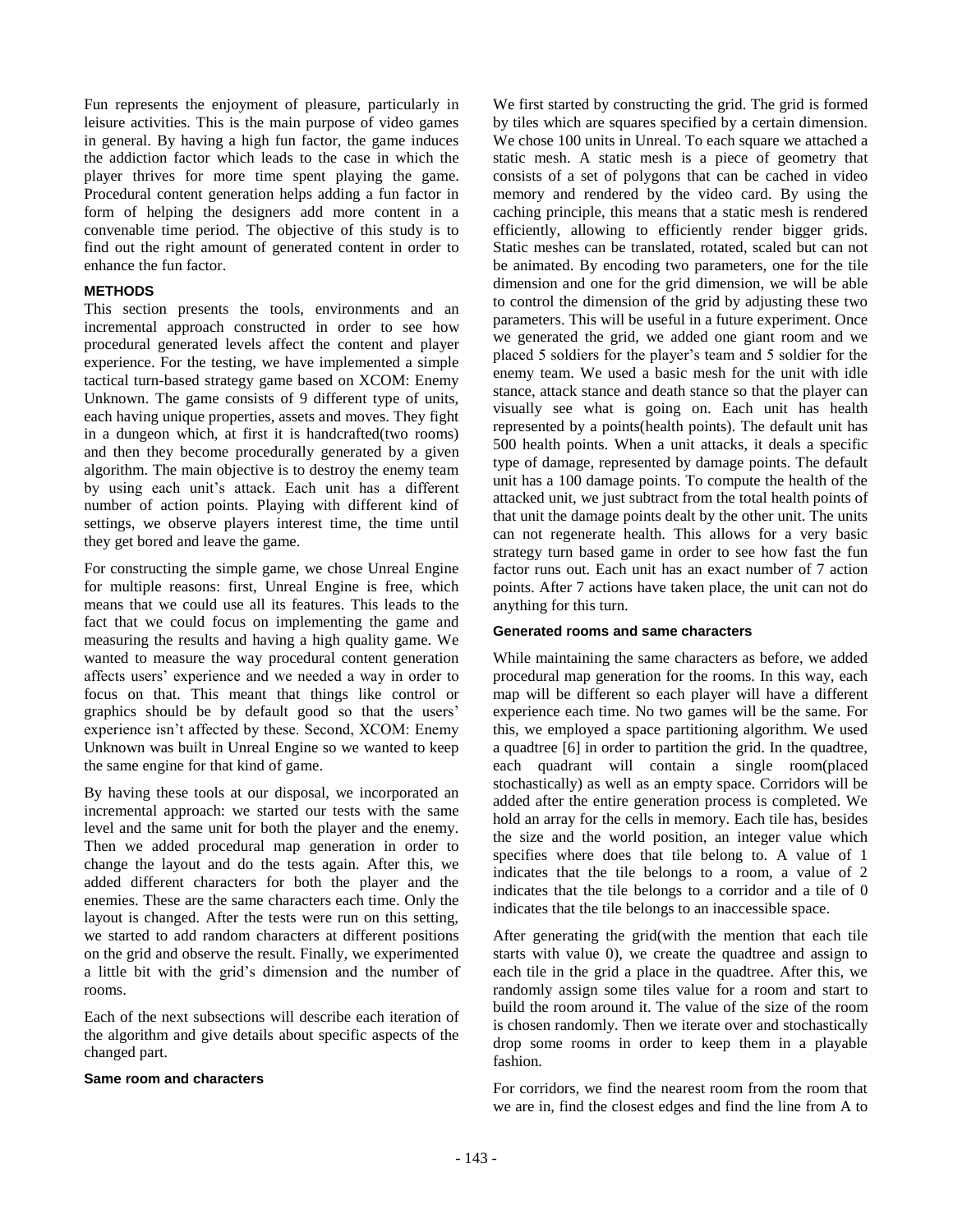Fun represents the enjoyment of pleasure, particularly in leisure activities. This is the main purpose of video games in general. By having a high fun factor, the game induces the addiction factor which leads to the case in which the player thrives for more time spent playing the game. Procedural content generation helps adding a fun factor in form of helping the designers add more content in a convenable time period. The objective of this study is to find out the right amount of generated content in order to enhance the fun factor.

## **METHODS**

This section presents the tools, environments and an incremental approach constructed in order to see how procedural generated levels affect the content and player experience. For the testing, we have implemented a simple tactical turn-based strategy game based on XCOM: Enemy Unknown. The game consists of 9 different type of units, each having unique properties, assets and moves. They fight in a dungeon which, at first it is handcrafted(two rooms) and then they become procedurally generated by a given algorithm. The main objective is to destroy the enemy team by using each unit's attack. Each unit has a different number of action points. Playing with different kind of settings, we observe players interest time, the time until they get bored and leave the game.

For constructing the simple game, we chose Unreal Engine for multiple reasons: first, Unreal Engine is free, which means that we could use all its features. This leads to the fact that we could focus on implementing the game and measuring the results and having a high quality game. We wanted to measure the way procedural content generation affects users' experience and we needed a way in order to focus on that. This meant that things like control or graphics should be by default good so that the users' experience isn't affected by these. Second, XCOM: Enemy Unknown was built in Unreal Engine so we wanted to keep the same engine for that kind of game.

By having these tools at our disposal, we incorporated an incremental approach: we started our tests with the same level and the same unit for both the player and the enemy. Then we added procedural map generation in order to change the layout and do the tests again. After this, we added different characters for both the player and the enemies. These are the same characters each time. Only the layout is changed. After the tests were run on this setting, we started to add random characters at different positions on the grid and observe the result. Finally, we experimented a little bit with the grid's dimension and the number of rooms.

Each of the next subsections will describe each iteration of the algorithm and give details about specific aspects of the changed part.

#### **Same room and characters**

We first started by constructing the grid. The grid is formed by tiles which are squares specified by a certain dimension. We chose 100 units in Unreal. To each square we attached a static mesh. A static mesh is a piece of geometry that consists of a set of polygons that can be cached in video memory and rendered by the video card. By using the caching principle, this means that a static mesh is rendered efficiently, allowing to efficiently render bigger grids. Static meshes can be translated, rotated, scaled but can not be animated. By encoding two parameters, one for the tile dimension and one for the grid dimension, we will be able to control the dimension of the grid by adjusting these two parameters. This will be useful in a future experiment. Once we generated the grid, we added one giant room and we placed 5 soldiers for the player's team and 5 soldier for the enemy team. We used a basic mesh for the unit with idle stance, attack stance and death stance so that the player can visually see what is going on. Each unit has health represented by a points(health points). The default unit has 500 health points. When a unit attacks, it deals a specific type of damage, represented by damage points. The default unit has a 100 damage points. To compute the health of the attacked unit, we just subtract from the total health points of that unit the damage points dealt by the other unit. The units can not regenerate health. This allows for a very basic strategy turn based game in order to see how fast the fun factor runs out. Each unit has an exact number of 7 action points. After 7 actions have taken place, the unit can not do anything for this turn.

#### **Generated rooms and same characters**

While maintaining the same characters as before, we added procedural map generation for the rooms. In this way, each map will be different so each player will have a different experience each time. No two games will be the same. For this, we employed a space partitioning algorithm. We used a quadtree [6] in order to partition the grid. In the quadtree, each quadrant will contain a single room(placed stochastically) as well as an empty space. Corridors will be added after the entire generation process is completed. We hold an array for the cells in memory. Each tile has, besides the size and the world position, an integer value which specifies where does that tile belong to. A value of 1 indicates that the tile belongs to a room, a value of 2 indicates that the tile belongs to a corridor and a tile of 0 indicates that the tile belongs to an inaccessible space.

After generating the grid(with the mention that each tile starts with value 0), we create the quadtree and assign to each tile in the grid a place in the quadtree. After this, we randomly assign some tiles value for a room and start to build the room around it. The value of the size of the room is chosen randomly. Then we iterate over and stochastically drop some rooms in order to keep them in a playable fashion.

For corridors, we find the nearest room from the room that we are in, find the closest edges and find the line from A to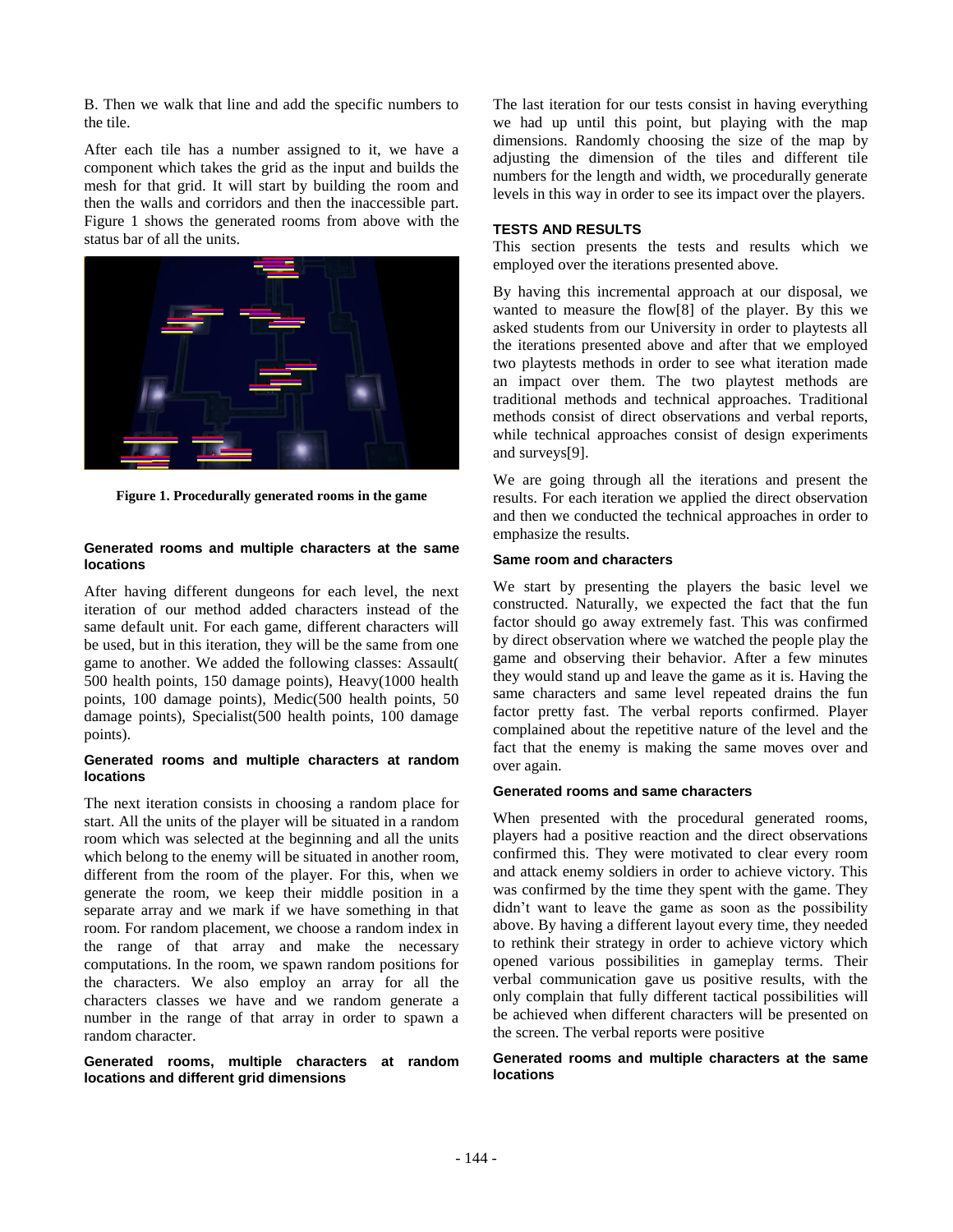B. Then we walk that line and add the specific numbers to the tile.

After each tile has a number assigned to it, we have a component which takes the grid as the input and builds the mesh for that grid. It will start by building the room and then the walls and corridors and then the inaccessible part. Figure 1 shows the generated rooms from above with the status bar of all the units.



**Figure 1. Procedurally generated rooms in the game**

## **Generated rooms and multiple characters at the same locations**

After having different dungeons for each level, the next iteration of our method added characters instead of the same default unit. For each game, different characters will be used, but in this iteration, they will be the same from one game to another. We added the following classes: Assault( 500 health points, 150 damage points), Heavy(1000 health points, 100 damage points), Medic(500 health points, 50 damage points), Specialist(500 health points, 100 damage points).

#### **Generated rooms and multiple characters at random locations**

The next iteration consists in choosing a random place for start. All the units of the player will be situated in a random room which was selected at the beginning and all the units which belong to the enemy will be situated in another room, different from the room of the player. For this, when we generate the room, we keep their middle position in a separate array and we mark if we have something in that room. For random placement, we choose a random index in the range of that array and make the necessary computations. In the room, we spawn random positions for the characters. We also employ an array for all the characters classes we have and we random generate a number in the range of that array in order to spawn a random character.

## **Generated rooms, multiple characters at random locations and different grid dimensions**

The last iteration for our tests consist in having everything we had up until this point, but playing with the map dimensions. Randomly choosing the size of the map by adjusting the dimension of the tiles and different tile numbers for the length and width, we procedurally generate levels in this way in order to see its impact over the players.

## **TESTS AND RESULTS**

This section presents the tests and results which we employed over the iterations presented above.

By having this incremental approach at our disposal, we wanted to measure the flow[8] of the player. By this we asked students from our University in order to playtests all the iterations presented above and after that we employed two playtests methods in order to see what iteration made an impact over them. The two playtest methods are traditional methods and technical approaches. Traditional methods consist of direct observations and verbal reports, while technical approaches consist of design experiments and surveys[9].

We are going through all the iterations and present the results. For each iteration we applied the direct observation and then we conducted the technical approaches in order to emphasize the results.

#### **Same room and characters**

We start by presenting the players the basic level we constructed. Naturally, we expected the fact that the fun factor should go away extremely fast. This was confirmed by direct observation where we watched the people play the game and observing their behavior. After a few minutes they would stand up and leave the game as it is. Having the same characters and same level repeated drains the fun factor pretty fast. The verbal reports confirmed. Player complained about the repetitive nature of the level and the fact that the enemy is making the same moves over and over again.

#### **Generated rooms and same characters**

When presented with the procedural generated rooms, players had a positive reaction and the direct observations confirmed this. They were motivated to clear every room and attack enemy soldiers in order to achieve victory. This was confirmed by the time they spent with the game. They didn't want to leave the game as soon as the possibility above. By having a different layout every time, they needed to rethink their strategy in order to achieve victory which opened various possibilities in gameplay terms. Their verbal communication gave us positive results, with the only complain that fully different tactical possibilities will be achieved when different characters will be presented on the screen. The verbal reports were positive

#### **Generated rooms and multiple characters at the same locations**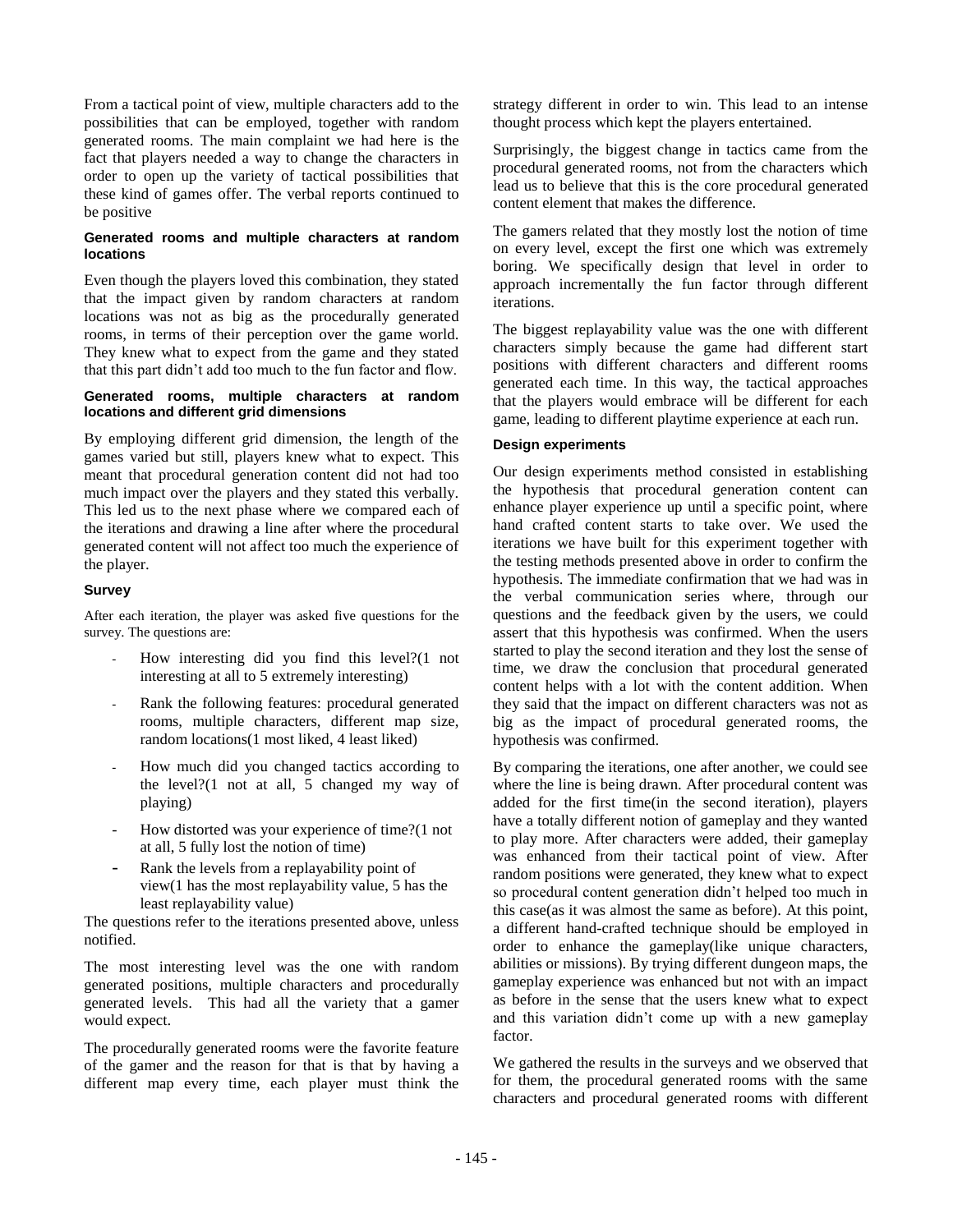From a tactical point of view, multiple characters add to the possibilities that can be employed, together with random generated rooms. The main complaint we had here is the fact that players needed a way to change the characters in order to open up the variety of tactical possibilities that these kind of games offer. The verbal reports continued to be positive

## **Generated rooms and multiple characters at random locations**

Even though the players loved this combination, they stated that the impact given by random characters at random locations was not as big as the procedurally generated rooms, in terms of their perception over the game world. They knew what to expect from the game and they stated that this part didn't add too much to the fun factor and flow.

### **Generated rooms, multiple characters at random locations and different grid dimensions**

By employing different grid dimension, the length of the games varied but still, players knew what to expect. This meant that procedural generation content did not had too much impact over the players and they stated this verbally. This led us to the next phase where we compared each of the iterations and drawing a line after where the procedural generated content will not affect too much the experience of the player.

# **Survey**

After each iteration, the player was asked five questions for the survey. The questions are:

- How interesting did you find this level?(1 not interesting at all to 5 extremely interesting)
- Rank the following features: procedural generated rooms, multiple characters, different map size, random locations(1 most liked, 4 least liked)
- How much did you changed tactics according to the level?(1 not at all, 5 changed my way of playing)
- How distorted was your experience of time?(1 not at all, 5 fully lost the notion of time)
- Rank the levels from a replayability point of view(1 has the most replayability value, 5 has the least replayability value)

The questions refer to the iterations presented above, unless notified.

The most interesting level was the one with random generated positions, multiple characters and procedurally generated levels. This had all the variety that a gamer would expect.

The procedurally generated rooms were the favorite feature of the gamer and the reason for that is that by having a different map every time, each player must think the strategy different in order to win. This lead to an intense thought process which kept the players entertained.

Surprisingly, the biggest change in tactics came from the procedural generated rooms, not from the characters which lead us to believe that this is the core procedural generated content element that makes the difference.

The gamers related that they mostly lost the notion of time on every level, except the first one which was extremely boring. We specifically design that level in order to approach incrementally the fun factor through different iterations.

The biggest replayability value was the one with different characters simply because the game had different start positions with different characters and different rooms generated each time. In this way, the tactical approaches that the players would embrace will be different for each game, leading to different playtime experience at each run.

## **Design experiments**

Our design experiments method consisted in establishing the hypothesis that procedural generation content can enhance player experience up until a specific point, where hand crafted content starts to take over. We used the iterations we have built for this experiment together with the testing methods presented above in order to confirm the hypothesis. The immediate confirmation that we had was in the verbal communication series where, through our questions and the feedback given by the users, we could assert that this hypothesis was confirmed. When the users started to play the second iteration and they lost the sense of time, we draw the conclusion that procedural generated content helps with a lot with the content addition. When they said that the impact on different characters was not as big as the impact of procedural generated rooms, the hypothesis was confirmed.

By comparing the iterations, one after another, we could see where the line is being drawn. After procedural content was added for the first time(in the second iteration), players have a totally different notion of gameplay and they wanted to play more. After characters were added, their gameplay was enhanced from their tactical point of view. After random positions were generated, they knew what to expect so procedural content generation didn't helped too much in this case(as it was almost the same as before). At this point, a different hand-crafted technique should be employed in order to enhance the gameplay(like unique characters, abilities or missions). By trying different dungeon maps, the gameplay experience was enhanced but not with an impact as before in the sense that the users knew what to expect and this variation didn't come up with a new gameplay factor.

We gathered the results in the surveys and we observed that for them, the procedural generated rooms with the same characters and procedural generated rooms with different